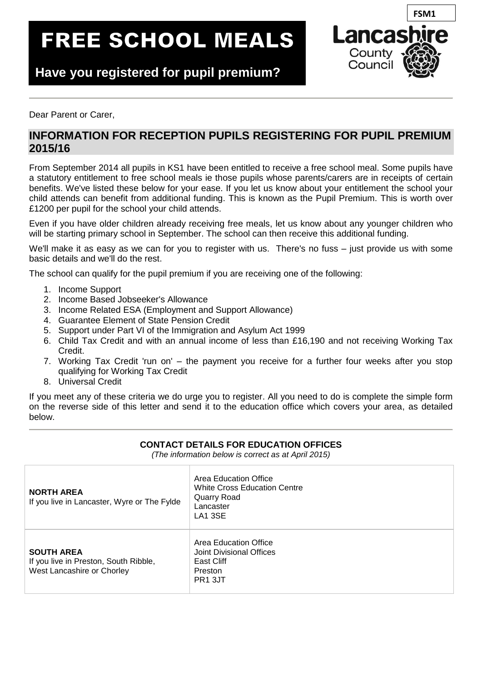# **FREE SCHOOL MEALS**



**Have you registered for pupil premium?**

**ppremiumprpremium?**

Dear Parent or Carer,

## **INFORMATION FOR RECEPTION PUPILS REGISTERING FOR PUPIL PREMIUM 2015/16**

From September 2014 all pupils in KS1 have been entitled to receive a free school meal. Some pupils have a statutory entitlement to free school meals ie those pupils whose parents/carers are in receipts of certain benefits. We've listed these below for your ease. If you let us know about your entitlement the school your child attends can benefit from additional funding. This is known as the Pupil Premium. This is worth over £1200 per pupil for the school your child attends.

Even if you have older children already receiving free meals, let us know about any younger children who will be starting primary school in September. The school can then receive this additional funding.

We'll make it as easy as we can for you to register with us. There's no fuss – just provide us with some basic details and we'll do the rest.

The school can qualify for the pupil premium if you are receiving one of the following:

- 1. Income Support
- 2. Income Based Jobseeker's Allowance
- 3. Income Related ESA (Employment and Support Allowance)
- 4. Guarantee Element of State Pension Credit
- 5. Support under Part VI of the Immigration and Asylum Act 1999
- 6. Child Tax Credit and with an annual income of less than £16,190 and not receiving Working Tax Credit.
- 7. Working Tax Credit 'run on' the payment you receive for a further four weeks after you stop qualifying for Working Tax Credit
- 8. Universal Credit

If you meet any of these criteria we do urge you to register. All you need to do is complete the simple form on the reverse side of this letter and send it to the education office which covers your area, as detailed below.

| (The information below is correct as at April 2015)                                      |                                                                                                     |  |  |
|------------------------------------------------------------------------------------------|-----------------------------------------------------------------------------------------------------|--|--|
| <b>NORTH AREA</b><br>If you live in Lancaster, Wyre or The Fylde                         | Area Education Office<br><b>White Cross Education Centre</b><br>Quarry Road<br>Lancaster<br>LA1 3SE |  |  |
| <b>SOUTH AREA</b><br>If you live in Preston, South Ribble,<br>West Lancashire or Chorley | Area Education Office<br>Joint Divisional Offices<br>East Cliff<br>Preston<br>PR <sub>1</sub> 3JT   |  |  |

**CONTACT DETAILS FOR EDUCATION OFFICES**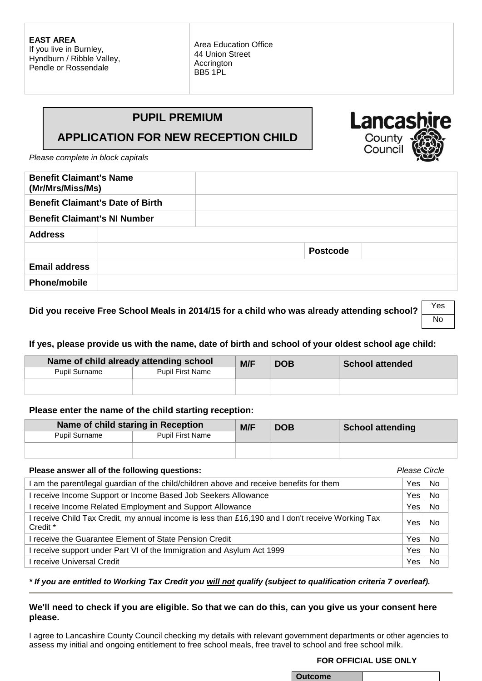**EAST AREA** If you live in Burnley, Hyndburn / Ribble Valley, Pendle or Rossendale

Area Education Office 44 Union Street Accrington BB5 1PL

## **PUPIL PREMIUM**

# **APPLICATION FOR NEW RECEPTION CHILD**

*Please complete in block capitals*

| <b>Benefit Claimant's Name</b><br>(Mr/Mrs/Miss/Ms) |  |                 |  |
|----------------------------------------------------|--|-----------------|--|
| <b>Benefit Claimant's Date of Birth</b>            |  |                 |  |
| <b>Benefit Claimant's NI Number</b>                |  |                 |  |
| <b>Address</b>                                     |  |                 |  |
|                                                    |  | <b>Postcode</b> |  |
| <b>Email address</b>                               |  |                 |  |
| <b>Phone/mobile</b>                                |  |                 |  |

### **Did you receive Free School Meals in 2014/15 for a child who was already attending school?** Yes

#### **If yes, please provide us with the name, date of birth and school of your oldest school age child:**

| Name of child already attending school |                         | M/F | <b>DOB</b> | <b>School attended</b> |
|----------------------------------------|-------------------------|-----|------------|------------------------|
| <b>Pupil Surname</b>                   | <b>Pupil First Name</b> |     |            |                        |
|                                        |                         |     |            |                        |

#### **Please enter the name of the child starting reception:**

| Name of child staring in Reception |                         | M/F | <b>DOB</b> | <b>School attending</b> |
|------------------------------------|-------------------------|-----|------------|-------------------------|
| <b>Pupil Surname</b>               | <b>Pupil First Name</b> |     |            |                         |
|                                    |                         |     |            |                         |

| Please answer all of the following questions:                                                                          |     |                |
|------------------------------------------------------------------------------------------------------------------------|-----|----------------|
| I am the parent/legal guardian of the child/children above and receive benefits for them                               | Yes | <b>No</b>      |
| receive Income Support or Income Based Job Seekers Allowance                                                           | Yes | No             |
| I receive Income Related Employment and Support Allowance                                                              | Yes | <b>No</b>      |
| receive Child Tax Credit, my annual income is less than £16,190 and I don't receive Working Tax<br>Credit <sup>*</sup> | Yes | <b>No</b>      |
| receive the Guarantee Element of State Pension Credit                                                                  | Yes | N <sub>0</sub> |
| receive support under Part VI of the Immigration and Asylum Act 1999                                                   | Yes | <b>No</b>      |
| l receive Universal Credit                                                                                             | Yes | No             |

#### *\* If you are entitled to Working Tax Credit you will not qualify (subject to qualification criteria 7 overleaf).*

#### **We'll need to check if you are eligible. So that we can do this, can you give us your consent here please.**

I agree to Lancashire County Council checking my details with relevant government departments or other agencies to assess my initial and ongoing entitlement to free school meals, free travel to school and free school milk.

#### **FOR OFFICIAL USE ONLY**

| Outcome |  |
|---------|--|

**Lancas** County<br>Counci

No